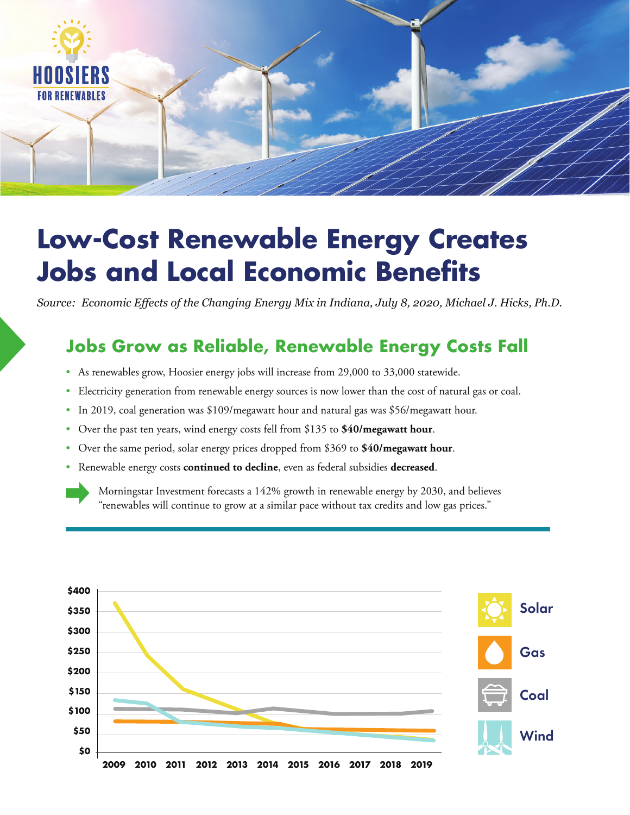

# **Low-Cost Renewable Energy Creates Jobs and Local Economic Benefits**

*Source: Economic Effects of the Changing Energy Mix in Indiana, July 8, 2020, Michael J. Hicks, Ph.D.*

# **Jobs Grow as Reliable, Renewable Energy Costs Fall**

- As renewables grow, Hoosier energy jobs will increase from 29,000 to 33,000 statewide.
- Electricity generation from renewable energy sources is now lower than the cost of natural gas or coal.
- In 2019, coal generation was \$109/megawatt hour and natural gas was \$56/megawatt hour.
- Over the past ten years, wind energy costs fell from \$135 to **\$40/megawatt hour**.
- Over the same period, solar energy prices dropped from \$369 to **\$40/megawatt hour**.
- Renewable energy costs **continued to decline**, even as federal subsidies **decreased**.

Morningstar Investment forecasts a 142% growth in renewable energy by 2030, and believes "renewables will continue to grow at a similar pace without tax credits and low gas prices."